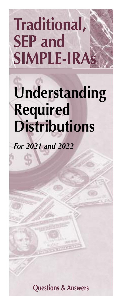# **Traditional, SEP and SIMPLE-IRAs**

## **Understanding Required Distributions**

*For 2021 and 2022*

**Questions & Answers**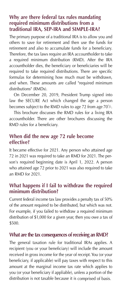#### **Why are there federal tax rules mandating required minimum distributions from a traditional IRA, SEP-IRA and SIMPLE-IRA?**

The primary purpose of a traditional IRA is to allow you and others to save for retirement and then use the funds for retirement and also to accumulate funds for a beneficiary. Therefore, the tax laws require an IRA accountholder to take a required minimum distribution (RMD). After the IRA accountholder dies, the beneficiary or beneficiaries will be required to take required distributions. There are specific formulas for determining how much must be withdrawn, and when. These amounts are called "required minimum distributions" (RMDs).

 On December 20, 2019, President Trump signed into law the SECURE Act which changed the age a person becomes subject to the RMD rules to age 72 from age  $70\frac{1}{2}$ .

 This brochure discusses the RMD rules for a living IRA accountholder. There are other brochures discussing the RMD rules for a beneficiary.

#### **When did the new age 72 rule become effective?**

It became effective for 2021. Any person who attained age 72 in 2021 was required to take an RMD for 2021. The person's required beginning date is April 1, 2022. A person who attained age 72 prior to 2021 was also required to take an RMD for 2021.

### **What happens if I fail to withdraw the required minimum distribution?**

Current federal income tax law provides a penalty tax of 50% of the amount required to be distributed, but which was not. For example, if you failed to withdraw a required minimum distribution of \$1,000 for a given year, then you owe a tax of \$500.

#### **What are the tax consequences of receiving an RMD?**

The general taxation rule for traditional IRAs applies. A recipient (you or your beneficiary) will include the amount received in gross income for the year of receipt. You (or your beneficiary, if applicable) will pay taxes with respect to this amount at the marginal income tax rate which applies to you (or your beneficiary if appliable), unless a portion of the distribution is not taxable because it is comprised of basis.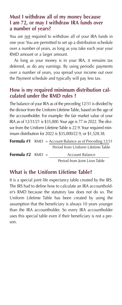#### **Must I withdraw all of my money because I am 72, or may I withdraw IRA funds over a number of years?**

You are not required to withdraw all of your IRA funds in one year. You are permitted to set up a distribution schedule over a number of years, as long as you take each year your RMD amount or a larger amount.

 As long as your money is in your IRA, it remains tax deferred, as do any earnings. By using periodic payments over a number of years, you spread your income out over the Payment schedule and typically will pay less tax.

## **How is my required minimum distribution calculated under the RMD rules ?**

The balance of your IRA as of the preceding 12/31 is divided by the divisor from the Uniform Lifetime Table, based on the age of the accountholder. For example: the fair market value of your IRA as of 12/31/21 is \$35,000. Your age is 77 in 2022. The divisor from the Uniform Lifetime Table is 22.9. Your required minimum distribution for 2022 is \$35,000/22.9, or \$1,528.38.

|                           | <b>Formula #1</b> RMD = Account Balance as of Preceding $12/31$ |                                    |  |
|---------------------------|-----------------------------------------------------------------|------------------------------------|--|
|                           |                                                                 | Period from Uniform Lifetime Table |  |
| <b>Formula</b> #2 $RMD =$ |                                                                 | Account Balance                    |  |
|                           |                                                                 | Period from Joint Lives Table      |  |

## **What is the Uniform Lifetime Table?**

It is a special joint life expectancy table created by the IRS. The IRS had to define how to calculate an IRA accountholder's RMD because the statutory law does not do so. The Uniform Lifetime Table has been created by using the assumption that the beneficiary is always 10 years younger than the IRA accountholder. So every IRA accountholder uses this special table even if their beneficiary is not a person.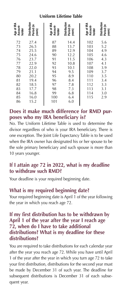#### **Uniform Lifetime Table**

| Age of IRA<br>Account-<br>holder                                                                                                                                                                                                                                                                                                                                                                                                                                                             | Distribution<br>Period (in                                                                                           | Age of IRA<br>Account-<br>holder                                                         | Distribution<br>Period (in                                                                                   | Age of IRA<br>Account-<br>holder                                                               | Distribution<br>Period (in<br>years)                                                           |
|----------------------------------------------------------------------------------------------------------------------------------------------------------------------------------------------------------------------------------------------------------------------------------------------------------------------------------------------------------------------------------------------------------------------------------------------------------------------------------------------|----------------------------------------------------------------------------------------------------------------------|------------------------------------------------------------------------------------------|--------------------------------------------------------------------------------------------------------------|------------------------------------------------------------------------------------------------|------------------------------------------------------------------------------------------------|
| 72<br>73<br>74<br>75<br>76<br>77<br>78<br>79<br>80<br>81<br>82<br>83<br>84<br>85<br>86                                                                                                                                                                                                                                                                                                                                                                                                       | 27.4<br>26.5<br>25.5<br>24.6<br>23.7<br>22.9<br>22.0<br>21.1<br>20.2<br>19.4<br>18.5<br>17.7<br>16.8<br>16.0<br>15.2 | 87<br>88<br>89<br>90<br>91<br>92<br>93<br>94<br>95<br>96<br>97<br>98<br>99<br>100<br>101 | 14.4<br>13.7<br>12.9<br>12.2<br>11.5<br>10.8<br>10.1<br>9.5<br>8.9<br>8.4<br>7.8<br>7.3<br>6.8<br>6.4<br>6.0 | 102<br>103<br>104<br>105<br>106<br>107<br>108<br>109<br>110<br>111<br>112<br>113<br>114<br>115 | 5.6<br>5.2<br>4.9<br>4.6<br>4.3<br>4.1<br>3.9<br>3.7<br>3.5<br>3.4<br>3.3<br>3.1<br>3.0<br>2.9 |
| Does it make much difference for RMD pur<br>poses who my IRA beneficiary is?<br>No. The Uniform Lifetime Table is used to determine th<br>divisor regardless of who is your IRA beneficiary. There i<br>one exception. The Joint Life Expectancy Table is to be use<br>when the IRA owner has designated his or her spouse to b<br>the sole primary beneficiary and such spouse is more tha<br>10 years younger.<br>If I attain age 72 in 2022, what is my deadline<br>to withdraw such RMD? |                                                                                                                      |                                                                                          |                                                                                                              |                                                                                                |                                                                                                |
| Your deadline is your required beginning date.<br>What is my required beginning date?<br>Your required beginning date is April 1 of the year followin<br>the year in which you reach age 72.                                                                                                                                                                                                                                                                                                 |                                                                                                                      |                                                                                          |                                                                                                              |                                                                                                |                                                                                                |
| If my first distribution has to be withdrawn by<br>April 1 of the year after the year I reach age<br>72, when do I have to take additional<br>distributions? What is my deadline for these<br>distributions?                                                                                                                                                                                                                                                                                 |                                                                                                                      |                                                                                          |                                                                                                              |                                                                                                |                                                                                                |
| You are required to take distributions for each calendar yea<br>after the year you reach age 72. While you have until Apr<br>1 of the year after the year in which you turn age 72 to tak<br>your first distribution, distributions for the second year mus<br>be made by December 31 of such year. The deadline fo<br>subsequent distributions is December 31 of each subse<br>quent year.                                                                                                  |                                                                                                                      |                                                                                          |                                                                                                              |                                                                                                |                                                                                                |

#### **Does it make much difference for RMD purposes who my IRA beneficiary is?**

## **If I attain age 72 in 2022, what is my deadline to withdraw such RMD?**

## **What is my required beginning date?**

#### **If my first distribution has to be withdrawn by April 1 of the year after the year I reach age 72, when do I have to take additional distributions? What is my deadline for these distributions?**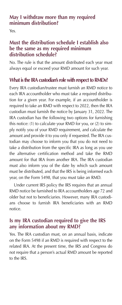## **May I withdraw more than my required minimum distribution?**

Yes.

## **Must the distribution schedule I establish also be the same as my required minimum distribution schedule?**

No. The rule is that the amount distributed each year must always equal or exceed your RMD amount for such year.

## **What is the IRA custodian's role with respect to RMDs?**

Every IRA custodian/trustee must furnish an RMD notice to each IRA accountholder who must take a required distribution for a given year. For example, if an accountholder is required to take an RMD with respect to 2022, then the IRA custodian must furnish the notice by January 31, 2022. The IRA custodian has the following two options for furnishing this notice: (1) to calculate your RMD for you, or (2) to simply notify you of your RMD requirement, and calculate the amount and provide it to you only if requested. The IRA custodian may choose to inform you that you do not need to take a distribution from the specific IRA as long as you use the alternative certification method and take the RMD amount for that IRA from another IRA. The IRA custodian must also inform you of the date by which such amount must be distributed, and that the IRS is being informed each year, on the Form 5498, that you must take an RMD.

 Under current IRS policy the IRS requires that an annual RMD notice be furnished to IRA accountholders age 72 and older but not to beneficiaries. However, many IRA custodians choose to furnish IRA beneficiaries with an RMD notice.

## **Is my IRA custodian required to give the IRS any information about my RMD?**

Yes. The IRA custodian must, on an annual basis, indicate on the Form 5498 if an RMD is required with respect to the related IRA. At the present time, the IRS and Congress do not require that a person's actual RMD amount be reported to the IRS.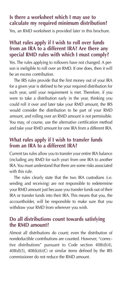## **Is there a worksheet which I may use to calculate my required minimum distribution?**

Yes, an RMD worksheet is provided later in this brochure.

#### **What rules apply if I wish to roll over funds from an IRA to a different IRA? Are there any special RMD rules with which I must comply?**

Yes. The rules applying to rollovers have not changed. A person is ineligible to roll over an RMD. If one does, then it will be an excess contribution.

 The IRS rules provide that the first money out of your IRA for a given year is defined to be your required distribution for such year, until your requirement is met. Therefore, if you were to take a distribution early in the year, thinking you could roll it over and later take your RMD amount, the IRS would consider the distribution to be part of your RMD amount, and rolling over an RMD amount is not permissible. You may, of course, use the alternative certification method and take your RMD amount for one IRA from a different IRA.

### **What rules apply if I wish to transfer funds from an IRA to a different IRA?**

Current tax rules allow you to transfer your entire IRA balance (including any RMD for such year) from one IRA to another IRA. You must understand that there are some risks associated with this rule.

 The rules clearly state that the two IRA custodians (i.e. sending and receiving) are not responsible to redetermine your RMD amount just because you transfer funds out of their IRA or transfer funds into their IRA. This means that you, the accountholder, will be responsible to make sure that you withdraw your RMD from wherever you wish.

## **Do all distributions count towards satisfying the RMD amount?**

Almost all distributions do count; even the distribution of nondeductible contributions are counted. However, "corrective distributions" pursuant to Code section 408(d)(4),  $408(d)(5)$ ,  $408(k)(6)(C)$  or similar items defined by the IRS commissioner do not reduce the RMD amount.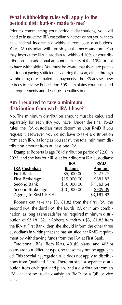## **What withholding rules will apply to the periodic distributions made to me?**

Prior to commencing your periodic distributions, you will need to instruct the IRA custodian whether or not you want to have federal income tax withheld from your distributions. Your IRA custodian will furnish you the necessary form. You may instruct the IRA custodian to withhold 10% of your distributions, an additional amount in excess of the 10%, or not to have withholding. You must be aware that there are penalties for not paying sufficient tax during the year, either through withholding or estimated tax payments. The IRS advises new retirees to review Publication 505. It explains your estimated tax requirements and describes penalties in detail.

## **Am I required to take a minimum distribution from each IRA I have?**

No. The minimum distribution amount must be calculated separately for each IRA you have. Under the final RMD rules, the IRA custodian must determine your RMD if you request it. However, you do not have to take a distribution from each IRA, as long as you satisfy the total minimum distribution amount from at least one IRA.

 **Example:** Roberta is age 78 (distribution period of 22.0) in 2022, and she has four IRAs at four different IRA custodians:

|                      | <b>IRA</b>     | <b>RMD</b> |
|----------------------|----------------|------------|
| <b>IRA Custodian</b> | <b>Balance</b> | Amount     |
| First Bank           | \$5,000.00     | \$227.27   |
| First Brokerage      | \$15,000.00    | \$681.82   |
| Second Bank          | \$30,000.00    | \$1,363.64 |
| Second Brokerage     | \$20,000.00    | \$909.09   |
| Aggregate RMD TOTAL  |                | \$3,181.82 |

 Roberta can take the \$3,181.82 from the first IRA, the second IRA, the third IRA, the fourth IRA or in any combination, as long as she satisfies her required minimum distribution of \$3,181.82. If Roberta withdraws \$3,181.82 from the IRA at First Bank, then she should inform the other three custodians in writing that she has satisfied her RMD requirement by withdrawing funds from the IRA at First Bank.

 Traditional IRAs, Roth IRAs, 401(k) plans, and 403(b) plans are four different types, so these may not be aggregated. This special aggregation rule does not apply to distributions from Qualified Plans. There must be a separate distribution from each qualified plan, and a distribution from an IRA can not be used to satisfy an RMD for a QP, or vice versa.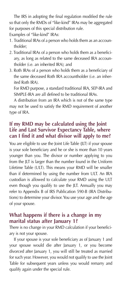The IRS in adopting the final regulation modified the rule so that only the RMDs of "like-kind" IRAs may be aggregated for purposes of this special distribution rule.

Examples of "like-kind" IRAs:

- 1. Traditional IRAs of a person who holds them as an accountholder;
- 2. Traditional IRAs of a person who holds them as a beneficiary, as long as related to the same deceased IRA accountholder (i.e. an inherited IRA); and
- 3. Roth IRAs of a person who holds them as a beneficiary of the same deceased Roth IRA accountholder (i.e. an inherited Roth IRA).

 For RMD purpose, a standard traditional IRA, SEP-IRA and SIMPLE-IRA are all defined to be traditional IRAs.

 A distribution from an IRA which is not of the same type may not be used to satisfy the RMD requirement of another type of IRA.

## **If my RMD may be calculated using the Joint Life and Last Survivor Expectancy Table, where can I find it and what divisor will apply to me?**

You are eligible to use the Joint Life Table (JLT) if your spouse is your sole beneficiary and he or she is more than 10 years younger than you. The divisor or number applying to you from the JLT is larger than the number found in the Uniform Lifetime Table (ULT). This means your RMD will be smaller than if determined by using the number from ULT. An IRA custodian is allowed to calculate your RMD using the ULT even though you qualify to use the JLT. Annually you may refer to Appendix B of IRS Publication 590-B (IRA Distributions) to determine your divisor. You use your age and the age of your spouse.

## **What happens if there is a change in my marital status after January 1?**

There is no change in your RMD calculation if your beneficiary is not your spouse.

 If your spouse is your sole beneficiary as of January 1 and your spouse would die after January 1, or you become divorced after January 1, you will still be treated as married for such year. However, you would not qualify to use the Joint Table for subsequent years unless you would remarry and qualify again under the special rule.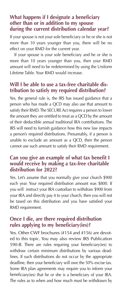#### **What happens if I designate a beneficiary other than or in addition to my spouse during the current distribution calendar year?**

If your spouse is not your sole beneficiary or he or she is not more than 10 years younger than you, there will be no effect on your RMD for the current year.

 If your spouse is your sole beneficiary and he or she is more than 10 years younger than you, then your RMD amount will need to be redetermined by using the Uniform Lifetime Table. Your RMD would increase.

## **Will I be able to use a tax-free charitable distribution to satisfy my required distribution?**

Yes, the general rule is, the IRS has issued guidance that a person who has made a QCD may also use that amount to satisfy their RMD. The SECURE Act requires a person to lower the amount they are entitled to treat as a QCD by the amount of their deductible annual traditional IRA contributions. The IRS will need to furnish guidance how this new law impacts a person's required distributions. Presumably, if a person is unable to exclude an amount as a QCD, then the person cannot use such amount to satisfy their RMD requirement.

## **Can you give an example of what tax benefit I would receive by making a tax-free charitable distribution for 2022?**

Yes. Let's assume that you normally give your church \$900 each year. Your required distribution amount was \$800. If you will instruct your IRA custodian to withdraw \$900 from your IRA and directly pay it to your church, then you will not be taxed on this distribution and you have satisfied your RMD requirement.

## **Once I die, are there required distribution rules applying to my beneficiary(ies)?**

Yes. Other CWF brochures (#154 and #156) are devoted to this topic. You may also review IRS Publication 590-B. There are rules requiring your beneficiary(ies) to withdraw certain minimum distributions by various deadlines. If such distributions do not occur by the appropriate deadline, then your beneficiary will owe the 50% excise tax. Some IRA plan agreements may require you to inform your beneficiary(ies) that he or she is a beneficiary of your IRA. The rules as to when and how much must be withdrawn by